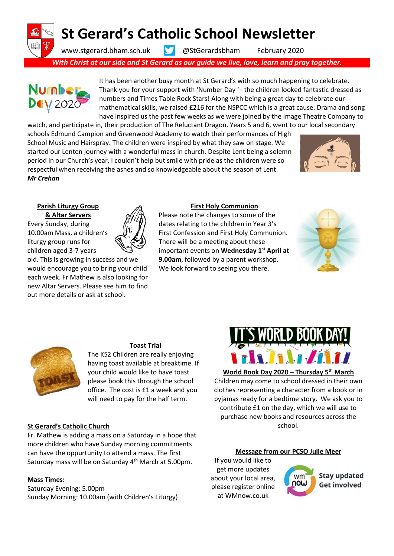# St Gerard's Catholic School Newsletter

www.stgerard.bham.sch.uk **W** @StGerardsbham February 2020

With Christ at our side and St Gerard as our guide we live, love, learn and pray together.



It has been another busy month at St Gerard's with so much happening to celebrate. Thank you for your support with 'Number Day '– the children looked fantastic dressed as numbers and Times Table Rock Stars! Along with being a great day to celebrate our mathematical skills, we raised £216 for the NSPCC which is a great cause. Drama and song have inspired us the past few weeks as we were joined by the Image Theatre Company to

watch, and participate in, their production of The Reluctant Dragon. Years 5 and 6, went to our local secondary schools Edmund Campion and Greenwood Academy to watch their performances of High School Music and Hairspray. The children were inspired by what they saw on stage. We started our Lenten journey with a wonderful mass in church. Despite Lent being a solemn period in our Church's year, I couldn't help but smile with pride as the children were so respectful when receiving the ashes and so knowledgeable about the season of Lent. Mr Crehan



#### Parish Liturgy Group & Altar Servers

Every Sunday, during 10.00am Mass, a children's liturgy group runs for children aged 3-7 years

old. This is growing in success and we would encourage you to bring your child each week. Fr Mathew is also looking for new Altar Servers. Please see him to find out more details or ask at school.



Please note the changes to some of the dates relating to the children in Year 3's First Confession and First Holy Communion. There will be a meeting about these important events on Wednesday 1<sup>st</sup> April at 9.00am, followed by a parent workshop. We look forward to seeing you there.





#### Toast Trial

The KS2 Children are really enjoying having toast available at breaktime. If your child would like to have toast please book this through the school office. The cost is £1 a week and you will need to pay for the half term.

Fr. Mathew is adding a mass on a Saturday in a hope that more children who have Sunday morning commitments can have the oppurtunity to attend a mass. The first Saturday mass will be on Saturday 4<sup>th</sup> March at 5.00pm.

#### Mass Times:

Saturday Evening: 5.00pm Sunday Morning: 10.00am (with Children's Liturgy)



#### World Book Day 2020 – Thursday 5<sup>th</sup> March Children may come to school dressed in their own clothes representing a character from a book or in pyjamas ready for a bedtime story. We ask you to contribute £1 on the day, which we will use to purchase new books and resources across the St Gerard's Catholic Church **State and State and School.** School.

#### Message from our PCSO Julie Meer

If you would like to get more updates about your local area, please register online at WMnow.co.uk